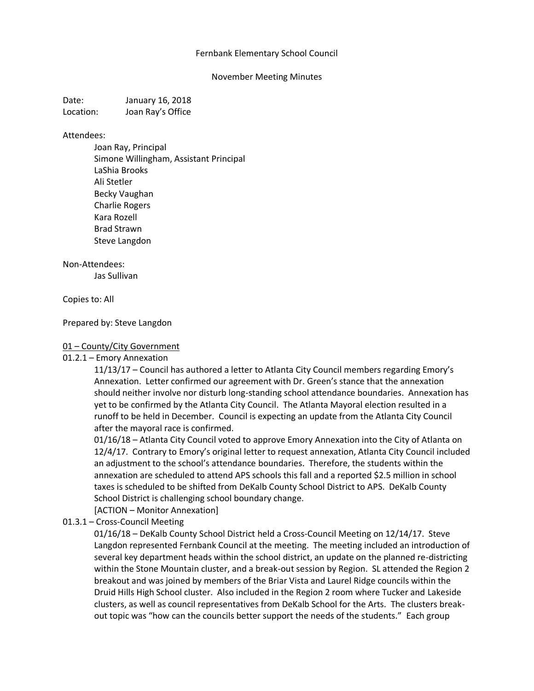## Fernbank Elementary School Council

### November Meeting Minutes

Date: January 16, 2018 Location: Joan Ray's Office

#### Attendees:

Joan Ray, Principal Simone Willingham, Assistant Principal LaShia Brooks Ali Stetler Becky Vaughan Charlie Rogers Kara Rozell Brad Strawn Steve Langdon

#### Non-Attendees:

Jas Sullivan

### Copies to: All

### Prepared by: Steve Langdon

### 01 – County/City Government

### 01.2.1 – Emory Annexation

11/13/17 – Council has authored a letter to Atlanta City Council members regarding Emory's Annexation. Letter confirmed our agreement with Dr. Green's stance that the annexation should neither involve nor disturb long-standing school attendance boundaries. Annexation has yet to be confirmed by the Atlanta City Council. The Atlanta Mayoral election resulted in a runoff to be held in December. Council is expecting an update from the Atlanta City Council after the mayoral race is confirmed.

01/16/18 – Atlanta City Council voted to approve Emory Annexation into the City of Atlanta on 12/4/17. Contrary to Emory's original letter to request annexation, Atlanta City Council included an adjustment to the school's attendance boundaries. Therefore, the students within the annexation are scheduled to attend APS schools this fall and a reported \$2.5 million in school taxes is scheduled to be shifted from DeKalb County School District to APS. DeKalb County School District is challenging school boundary change.

[ACTION – Monitor Annexation]

### 01.3.1 – Cross-Council Meeting

01/16/18 – DeKalb County School District held a Cross-Council Meeting on 12/14/17. Steve Langdon represented Fernbank Council at the meeting. The meeting included an introduction of several key department heads within the school district, an update on the planned re-districting within the Stone Mountain cluster, and a break-out session by Region. SL attended the Region 2 breakout and was joined by members of the Briar Vista and Laurel Ridge councils within the Druid Hills High School cluster. Also included in the Region 2 room where Tucker and Lakeside clusters, as well as council representatives from DeKalb School for the Arts. The clusters breakout topic was "how can the councils better support the needs of the students." Each group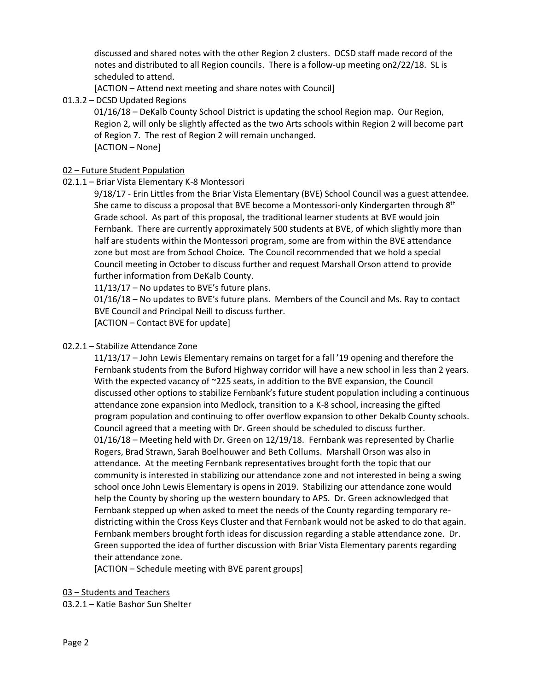discussed and shared notes with the other Region 2 clusters. DCSD staff made record of the notes and distributed to all Region councils. There is a follow-up meeting on2/22/18. SL is scheduled to attend.

[ACTION – Attend next meeting and share notes with Council]

01.3.2 – DCSD Updated Regions

01/16/18 – DeKalb County School District is updating the school Region map. Our Region, Region 2, will only be slightly affected as the two Arts schools within Region 2 will become part of Region 7. The rest of Region 2 will remain unchanged. [ACTION – None]

# 02 – Future Student Population

# 02.1.1 – Briar Vista Elementary K-8 Montessori

9/18/17 - Erin Littles from the Briar Vista Elementary (BVE) School Council was a guest attendee. She came to discuss a proposal that BVE become a Montessori-only Kindergarten through  $8<sup>th</sup>$ Grade school. As part of this proposal, the traditional learner students at BVE would join Fernbank. There are currently approximately 500 students at BVE, of which slightly more than half are students within the Montessori program, some are from within the BVE attendance zone but most are from School Choice. The Council recommended that we hold a special Council meeting in October to discuss further and request Marshall Orson attend to provide further information from DeKalb County.

11/13/17 – No updates to BVE's future plans.

01/16/18 – No updates to BVE's future plans. Members of the Council and Ms. Ray to contact BVE Council and Principal Neill to discuss further.

[ACTION – Contact BVE for update]

# 02.2.1 – Stabilize Attendance Zone

11/13/17 – John Lewis Elementary remains on target for a fall '19 opening and therefore the Fernbank students from the Buford Highway corridor will have a new school in less than 2 years. With the expected vacancy of ~225 seats, in addition to the BVE expansion, the Council discussed other options to stabilize Fernbank's future student population including a continuous attendance zone expansion into Medlock, transition to a K-8 school, increasing the gifted program population and continuing to offer overflow expansion to other Dekalb County schools. Council agreed that a meeting with Dr. Green should be scheduled to discuss further. 01/16/18 – Meeting held with Dr. Green on 12/19/18. Fernbank was represented by Charlie Rogers, Brad Strawn, Sarah Boelhouwer and Beth Collums. Marshall Orson was also in attendance. At the meeting Fernbank representatives brought forth the topic that our community is interested in stabilizing our attendance zone and not interested in being a swing school once John Lewis Elementary is opens in 2019. Stabilizing our attendance zone would help the County by shoring up the western boundary to APS. Dr. Green acknowledged that Fernbank stepped up when asked to meet the needs of the County regarding temporary redistricting within the Cross Keys Cluster and that Fernbank would not be asked to do that again. Fernbank members brought forth ideas for discussion regarding a stable attendance zone. Dr. Green supported the idea of further discussion with Briar Vista Elementary parents regarding their attendance zone.

[ACTION – Schedule meeting with BVE parent groups]

03 – Students and Teachers

03.2.1 – Katie Bashor Sun Shelter